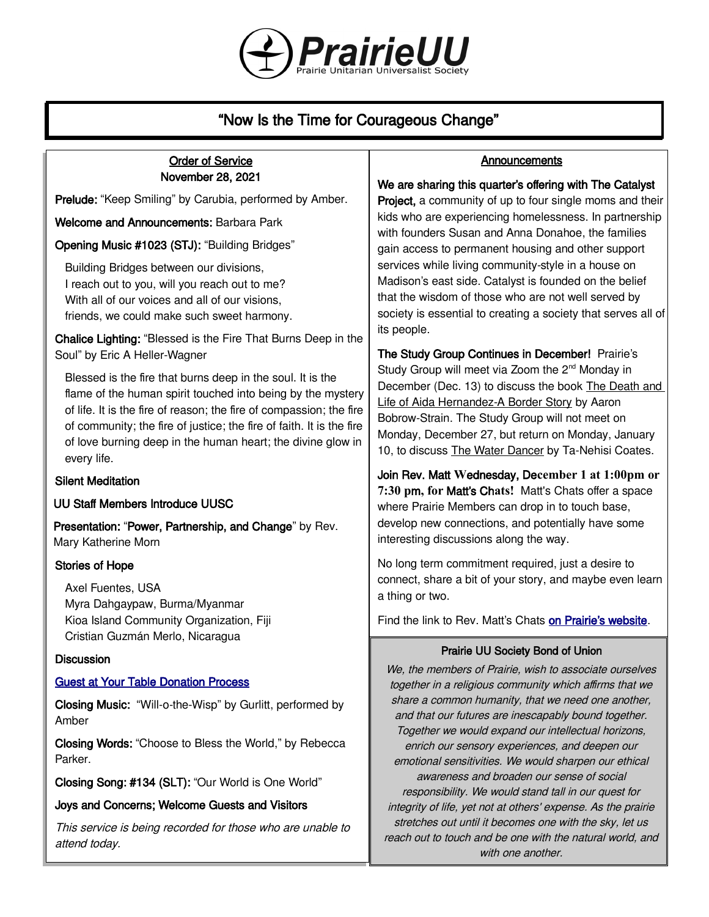

# "Now Is the Time for Courageous Change"

### Order of Service November 28, 2021

Prelude: "Keep Smiling" by Carubia, performed by Amber.

Welcome and Announcements: Barbara Park

Opening Music #1023 (STJ): "Building Bridges"

Building Bridges between our divisions, I reach out to you, will you reach out to me? With all of our voices and all of our visions. friends, we could make such sweet harmony.

Chalice Lighting: "Blessed is the Fire That Burns Deep in the Soul" by Eric A Heller-Wagner

Blessed is the fire that burns deep in the soul. It is the flame of the human spirit touched into being by the mystery of life. It is the fire of reason; the fire of compassion; the fire of community; the fire of justice; the fire of faith. It is the fire of love burning deep in the human heart; the divine glow in every life.

### Silent Meditation

UU Staff Members Introduce UUSC

Presentation: "Power, Partnership, and Change" by Rev. Mary Katherine Morn

### Stories of Hope

Axel Fuentes, USA Myra Dahgaypaw, Burma/Myanmar Kioa Island Community Organization, Fiji Cristian Guzmán Merlo, Nicaragua

### **Discussion**

### [Guest at Your Table Donation Process](https://www.uusc.org/wp-content/uploads/2021/08/Template-for-homemade-GAYT-box-2021-22.pdf)

Closing Music: "Will-o-the-Wisp" by Gurlitt, performed by Amber

Closing Words: "Choose to Bless the World," by Rebecca Parker.

Closing Song: #134 (SLT): "Our World is One World"

Joys and Concerns; Welcome Guests and Visitors

This service is being recorded for those who are unable to attend today.

### **Announcements**

### We are sharing this quarter's offering with The Catalyst

**Project, a community of up to four single moms and their** kids who are experiencing homelessness. In partnership with founders Susan and Anna Donahoe, the families gain access to permanent housing and other support services while living community-style in a house on Madison's east side. Catalyst is founded on the belief that the wisdom of those who are not well served by society is essential to creating a society that serves all of its people.

The Study Group Continues in December! Prairie's Study Group will meet via Zoom the 2<sup>nd</sup> Monday in December (Dec. 13) to discuss the book The Death and Life of Aida Hernandez-A Border Story by Aaron Bobrow-Strain. The Study Group will not meet on Monday, December 27, but return on Monday, January 10, to discuss The Water Dancer by Ta-Nehisi Coates.

Join Rev. Matt **W**ednesday, De**cember 1 at 1:00pm or 7:30 p**m**, for** Matt's Ch**ats!** Matt's Chats offer a space where Prairie Members can drop in to touch base, develop new connections, and potentially have some interesting discussions along the way.

No long term commitment required, just a desire to connect, share a bit of your story, and maybe even learn a thing or two.

Find the link to Rev. Matt's Chats [on Prairie's website](https://uuprairie.org/).

### Prairie UU Society Bond of Union

We, the members of Prairie, wish to associate ourselves together in a religious community which affirms that we share a common humanity, that we need one another, and that our futures are inescapably bound together. Together we would expand our intellectual horizons, enrich our sensory experiences, and deepen our emotional sensitivities. We would sharpen our ethical awareness and broaden our sense of social responsibility. We would stand tall in our quest for integrity of life, yet not at others' expense. As the prairie stretches out until it becomes one with the sky, let us reach out to touch and be one with the natural world, and with one another.